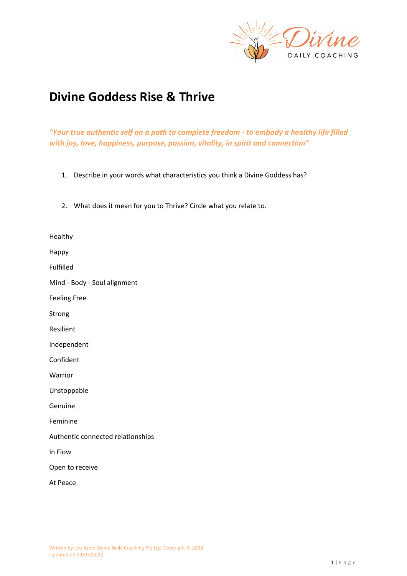

# **Divine Goddess Rise & Thrive**

*"Your true authentic self on a path to complete freedom - to embody a healthy life filled with joy, love, happiness, purpose, passion, vitality, in spirit and connection"* 

- 1. Describe in your words what characteristics you think a Divine Goddess has?
- 2. What does it mean for you to Thrive? Circle what you relate to.

Healthy

Happy

Fulfilled

Mind - Body - Soul alignment

Feeling Free

Strong

Resilient

Independent

Confident

Warrior

Unstoppable

Genuine

Feminine

Authentic connected relationships

In Flow

Open to receive

At Peace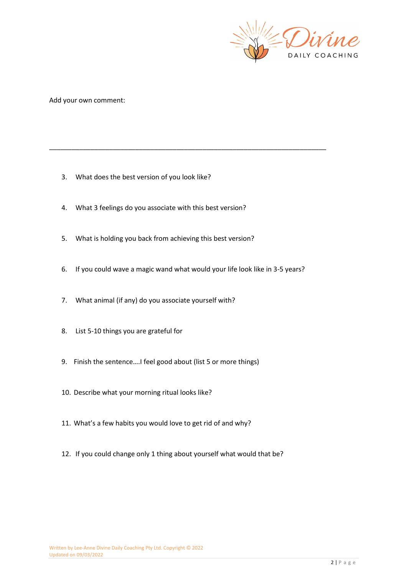

Add your own comment:

- 3. What does the best version of you look like?
- 4. What 3 feelings do you associate with this best version?
- 5. What is holding you back from achieving this best version?
- 6. If you could wave a magic wand what would your life look like in 3-5 years?

\_\_\_\_\_\_\_\_\_\_\_\_\_\_\_\_\_\_\_\_\_\_\_\_\_\_\_\_\_\_\_\_\_\_\_\_\_\_\_\_\_\_\_\_\_\_\_\_\_\_\_\_\_\_\_\_\_\_\_\_\_\_\_\_\_\_\_\_\_\_\_\_\_\_

- 7. What animal (if any) do you associate yourself with?
- 8. List 5-10 things you are grateful for
- 9. Finish the sentence….I feel good about (list 5 or more things)
- 10. Describe what your morning ritual looks like?
- 11. What's a few habits you would love to get rid of and why?
- 12. If you could change only 1 thing about yourself what would that be?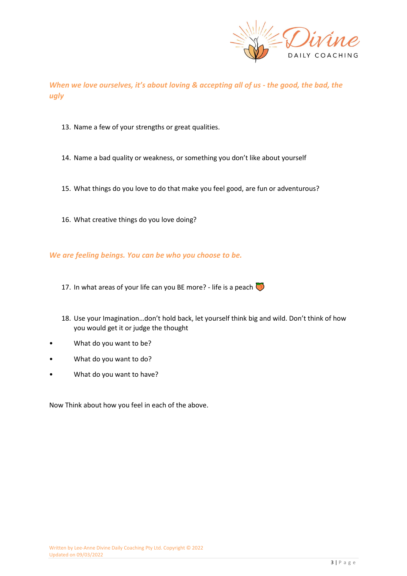

*When we love ourselves, it's about loving & accepting all of us - the good, the bad, the ugly*

- 13. Name a few of your strengths or great qualities.
- 14. Name a bad quality or weakness, or something you don't like about yourself
- 15. What things do you love to do that make you feel good, are fun or adventurous?
- 16. What creative things do you love doing?

### *We are feeling beings. You can be who you choose to be.*

- 17. In what areas of your life can you BE more? life is a peach  $\bigcirc$
- 18. Use your Imagination…don't hold back, let yourself think big and wild. Don't think of how you would get it or judge the thought
- What do you want to be?
- What do you want to do?
- What do you want to have?

Now Think about how you feel in each of the above.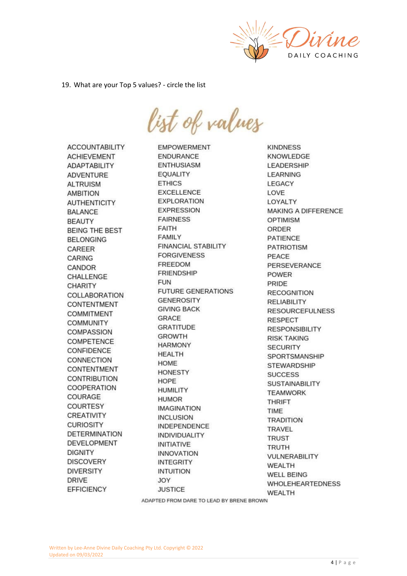

19. What are your Top 5 values? - circle the list

**ACCOUNTABILITY ACHIEVEMENT ADAPTABILITY ADVENTURE ALTRUISM AMBITION AUTHENTICITY BALANCE BEAUTY BEING THE BEST BELONGING** CAREER CARING CANDOR CHALLENGE **CHARITY COLLABORATION CONTENTMENT COMMITMENT COMMUNITY COMPASSION COMPETENCE CONFIDENCE** CONNECTION CONTENTMENT **CONTRIBUTION COOPERATION** COURAGE **COURTESY CREATIVITY CURIOSITY DETERMINATION DEVELOPMENT DIGNITY DISCOVERY DIVERSITY DRIVE EFFICIENCY** 

**EMPOWERMENT FNDURANCE ENTHUSIASM EQUALITY ETHICS EXCELLENCE EXPLORATION EXPRESSION FAIRNESS FAITH FAMILY FINANCIAL STABILITY FORGIVENESS FREEDOM FRIENDSHIP FUN FUTURE GENERATIONS GENEROSITY GIVING BACK GRACE GRATITUDE GROWTH HARMONY HFALTH HOME HONESTY** HOPF **HUMILITY HUMOR IMAGINATION INCLUSION INDEPENDENCE INDIVIDUALITY INITIATIVE INNOVATION INTEGRITY INTUITION JOY JUSTICE** 

list of values

**KINDNESS KNOWLEDGE LEADERSHIP LEARNING** LEGACY **LOVE LOYALTY MAKING A DIFFERENCE OPTIMISM** ORDER **PATIENCE PATRIOTISM** PEACE PERSEVERANCE **POWER** PRIDE **RECOGNITION RELIABILITY RESOURCEFULNESS RESPECT RESPONSIBILITY RISK TAKING SECURITY** SPORTSMANSHIP **STEWARDSHIP SUCCESS SUSTAINABILITY TEAMWORK THRIFT** TIME **TRADITION TRAVEL TRUST TRUTH VULNERABILITY WEALTH WELL BEING WHOLEHEARTEDNESS WEALTH** 

ADAPTED FROM DARE TO LEAD BY BRENE BROWN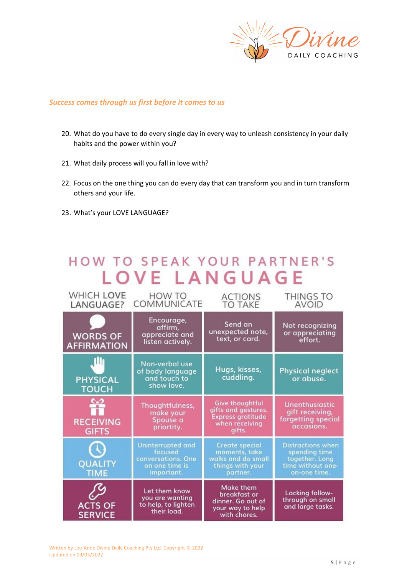

### *Success comes through us first before it comes to us*

- 20. What do you have to do every single day in every way to unleash consistency in your daily habits and the power within you?
- 21. What daily process will you fall in love with?
- 22. Focus on the one thing you can do every day that can transform you and in turn transform others and your life.
- 23. What's your LOVE LANGUAGE?

# HOW TO SPEAK YOUR PARTNER'S LOVE LANGUAGE

| <b>WHICH LOVE</b><br>LANGUAGE?                 | HOW TO<br>COMMUNICATE                                                              | <b>ACTIONS</b><br><b>TO TAKE</b>                                                               | <b>THINGS TO</b><br><b>AVOID</b>                                                                 |
|------------------------------------------------|------------------------------------------------------------------------------------|------------------------------------------------------------------------------------------------|--------------------------------------------------------------------------------------------------|
| <b>WORDS OF</b><br><b>AFFIRMATION</b>          | Encourage,<br>affirm,<br>appreciate and<br>listen actively.                        | Send an<br>unexpected note,<br>text, or card.                                                  | Not recognizing<br>or appreciating<br>effort.                                                    |
| <b>PHYSICAL</b><br><b>TOUCH</b>                | Non-verbal use<br>of body language<br>and touch to<br>show love.                   | Hugs, kisses,<br>cuddling.                                                                     | <b>Physical neglect</b><br>or abuse.                                                             |
| <u>କ୍ର</u><br><b>RECEIVING</b><br><b>GIFTS</b> | Thoughtfulness,<br>make your<br>Spouse a<br>priortity.                             | Give thoughtful<br>gifts and gestures.<br><b>Express gratitude</b><br>when receiving<br>gifts. | <b>Unenthusiastic</b><br>gift receiving,<br>forgetting special<br>occasions.                     |
| <b>QUALITY</b><br><b>TIME</b>                  | Uninterrupted and<br>focused<br>conversations. One<br>on one time is<br>important. | <b>Create special</b><br>moments, take<br>walks and do small<br>things with your<br>partner.   | <b>Distractions when</b><br>spending time<br>together. Long<br>time without one-<br>on-one time. |
| <b>ACTS OF</b><br><b>SERVICE</b>               | Let them know<br>you are wanting<br>to help, to lighten<br>their load.             | <b>Make them</b><br>breakfast or<br>dinner. Go out of<br>your way to help<br>with chores.      | Lacking follow-<br>through on small<br>and large tasks.                                          |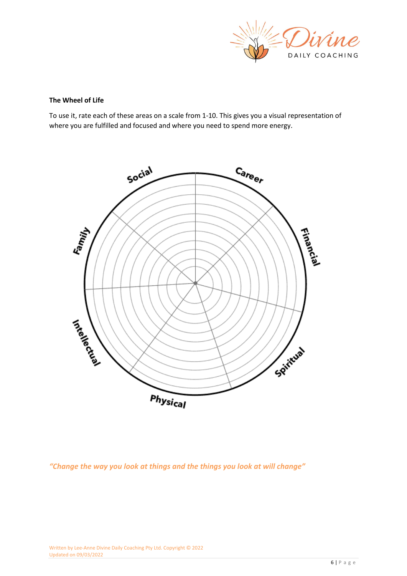

#### **The Wheel of Life**

To use it, rate each of these areas on a scale from 1-10. This gives you a visual representation of where you are fulfilled and focused and where you need to spend more energy.



*"Change the way you look at things and the things you look at will change"*